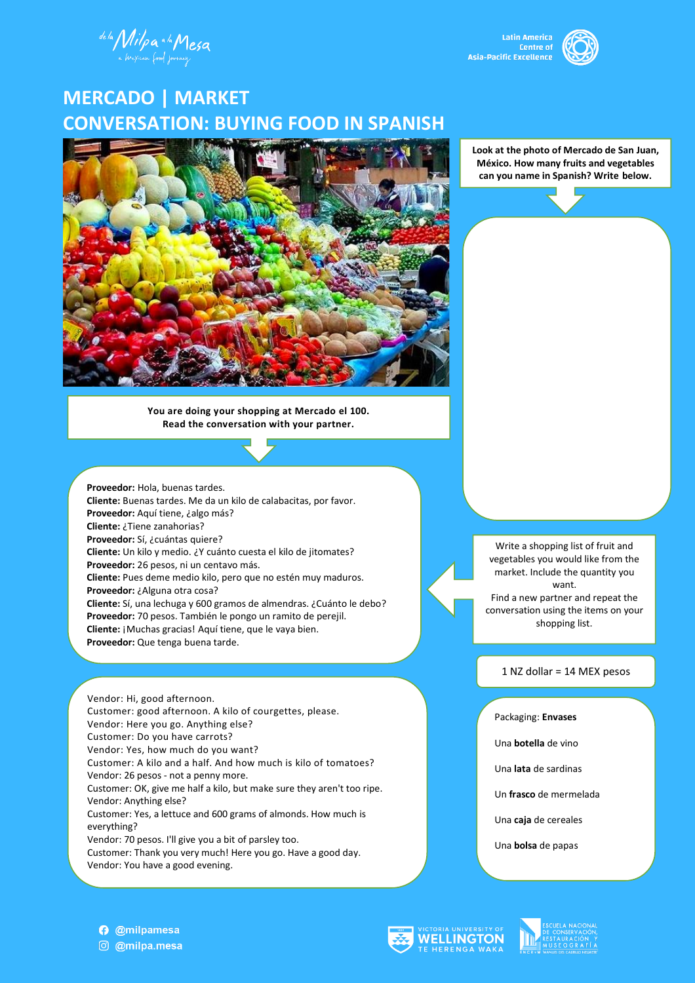de la Milpa a la Mesa

**Latin America Centre of** Asia-Pacific Excellence



# **MERCADO | MARKET CONVERSATION: BUYING FOOD IN SPANISH**



**You are doing your shopping at Mercado el 100. Read the conversation with your partner.**

**Proveedor:** Hola, buenas tardes. **Cliente:** Buenas tardes. Me da un kilo de calabacitas, por favor. **Proveedor:** Aquí tiene, ¿algo más? **Cliente:** ¿Tiene zanahorias? **Proveedor:** Sí, ¿cuántas quiere? **Cliente:** Un kilo y medio. ¿Y cuánto cuesta el kilo de jitomates? **Proveedor:** 26 pesos, ni un centavo más. **Cliente:** Pues deme medio kilo, pero que no estén muy maduros. **Proveedor:** ¿Alguna otra cosa? **Cliente:** Sí, una lechuga y 600 gramos de almendras. ¿Cuánto le debo? **Proveedor:** 70 pesos. También le pongo un ramito de perejil. **Cliente:** ¡Muchas gracias! Aquí tiene, que le vaya bien. **Proveedor:** Que tenga buena tarde.

Vendor: Hi, good afternoon. Customer: good afternoon. A kilo of courgettes, please. Vendor: Here you go. Anything else? Customer: Do you have carrots? Vendor: Yes, how much do you want? Customer: A kilo and a half. And how much is kilo of tomatoes? Vendor: 26 pesos - not a penny more. Customer: OK, give me half a kilo, but make sure they aren't too ripe. Vendor: Anything else? Customer: Yes, a lettuce and 600 grams of almonds. How much is everything? Vendor: 70 pesos. I'll give you a bit of parsley too. Customer: Thank you very much! Here you go. Have a good day. Vendor: You have a good evening.

**Look at the photo of Mercado de San Juan, México. How many fruits and vegetables can you name in Spanish? Write below.**

Write a shopping list of fruit and vegetables you would like from the market. Include the quantity you want.

Find a new partner and repeat the conversation using the items on your shopping list.

1 NZ dollar = 14 MEX pesos

Packaging: **Envases**

Una **botella** de vino

Una **lata** de sardinas

Un **frasco** de mermelada

Una **caja** de cereales

Una **bolsa** de papas